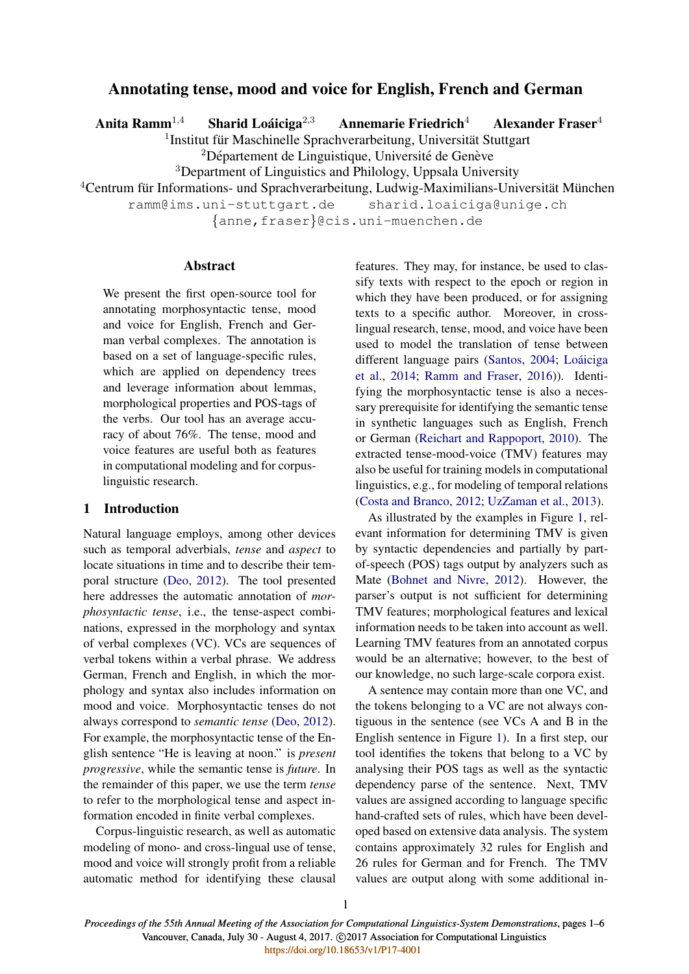# Annotating tense, mood and voice for English, French and German

Anita Ramm<sup>1,4</sup> Sharid Loáiciga<sup>2,3</sup>

Annemarie Friedrich<sup>4</sup> Alexander Fraser<sup>4</sup>

<sup>1</sup>Institut für Maschinelle Sprachverarbeitung, Universität Stuttgart

 $2D$ épartement de Linguistique, Université de Genève

<sup>3</sup>Department of Linguistics and Philology, Uppsala University

 $4$ Centrum für Informations- und Sprachverarbeitung, Ludwig-Maximilians-Universität München

ramm@ims.uni-stuttgart.de sharid.loaiciga@unige.ch

{anne,fraser}@cis.uni-muenchen.de

## Abstract

We present the first open-source tool for annotating morphosyntactic tense, mood and voice for English, French and German verbal complexes. The annotation is based on a set of language-specific rules, which are applied on dependency trees and leverage information about lemmas, morphological properties and POS-tags of the verbs. Our tool has an average accuracy of about 76%. The tense, mood and voice features are useful both as features in computational modeling and for corpuslinguistic research.

# 1 Introduction

Natural language employs, among other devices such as temporal adverbials, *tense* and *aspect* to locate situations in time and to describe their temporal structure (Deo, 2012). The tool presented here addresses the automatic annotation of *morphosyntactic tense*, i.e., the tense-aspect combinations, expressed in the morphology and syntax of verbal complexes (VC). VCs are sequences of verbal tokens within a verbal phrase. We address German, French and English, in which the morphology and syntax also includes information on mood and voice. Morphosyntactic tenses do not always correspond to *semantic tense* (Deo, 2012). For example, the morphosyntactic tense of the English sentence "He is leaving at noon." is *present progressive*, while the semantic tense is *future*. In the remainder of this paper, we use the term *tense* to refer to the morphological tense and aspect information encoded in finite verbal complexes.

Corpus-linguistic research, as well as automatic modeling of mono- and cross-lingual use of tense, mood and voice will strongly profit from a reliable automatic method for identifying these clausal features. They may, for instance, be used to classify texts with respect to the epoch or region in which they have been produced, or for assigning texts to a specific author. Moreover, in crosslingual research, tense, mood, and voice have been used to model the translation of tense between different language pairs (Santos, 2004; Loáiciga et al., 2014; Ramm and Fraser, 2016)). Identifying the morphosyntactic tense is also a necessary prerequisite for identifying the semantic tense in synthetic languages such as English, French or German (Reichart and Rappoport, 2010). The extracted tense-mood-voice (TMV) features may also be useful for training models in computational linguistics, e.g., for modeling of temporal relations (Costa and Branco, 2012; UzZaman et al., 2013).

As illustrated by the examples in Figure 1, relevant information for determining TMV is given by syntactic dependencies and partially by partof-speech (POS) tags output by analyzers such as Mate (Bohnet and Nivre, 2012). However, the parser's output is not sufficient for determining TMV features; morphological features and lexical information needs to be taken into account as well. Learning TMV features from an annotated corpus would be an alternative; however, to the best of our knowledge, no such large-scale corpora exist.

A sentence may contain more than one VC, and the tokens belonging to a VC are not always contiguous in the sentence (see VCs A and B in the English sentence in Figure 1). In a first step, our tool identifies the tokens that belong to a VC by analysing their POS tags as well as the syntactic dependency parse of the sentence. Next, TMV values are assigned according to language specific hand-crafted sets of rules, which have been developed based on extensive data analysis. The system contains approximately 32 rules for English and 26 rules for German and for French. The TMV values are output along with some additional in-

1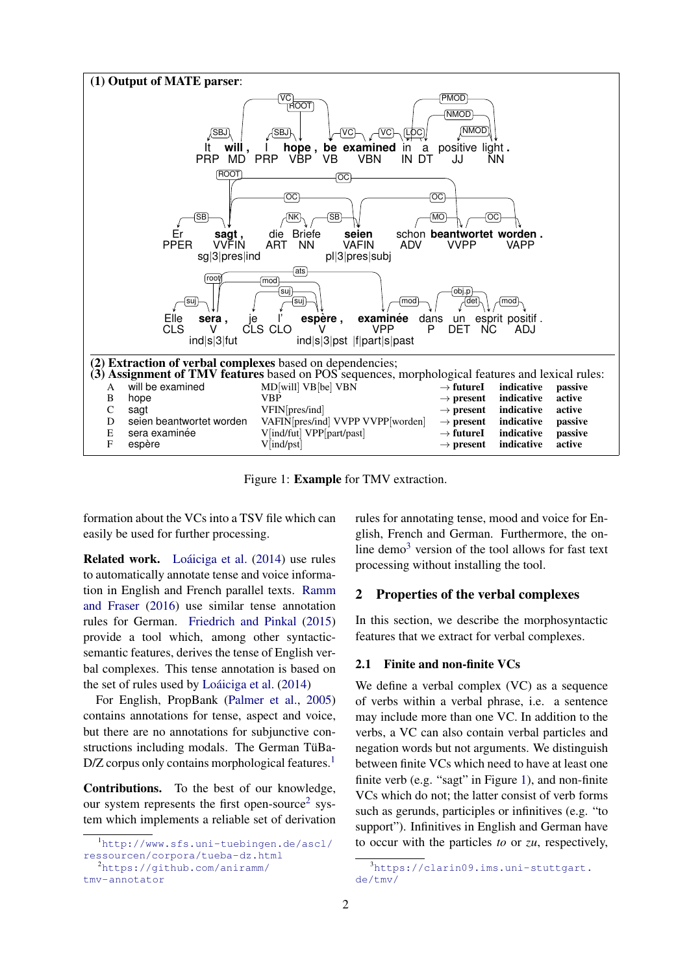

Figure 1: Example for TMV extraction.

formation about the VCs into a TSV file which can easily be used for further processing.

Related work. Loáiciga et al. (2014) use rules to automatically annotate tense and voice information in English and French parallel texts. Ramm and Fraser (2016) use similar tense annotation rules for German. Friedrich and Pinkal (2015) provide a tool which, among other syntacticsemantic features, derives the tense of English verbal complexes. This tense annotation is based on the set of rules used by Loáiciga et al.  $(2014)$ 

For English, PropBank (Palmer et al., 2005) contains annotations for tense, aspect and voice, but there are no annotations for subjunctive constructions including modals. The German TüBa-D/Z corpus only contains morphological features.<sup>1</sup>

Contributions. To the best of our knowledge, our system represents the first open-source<sup>2</sup> system which implements a reliable set of derivation rules for annotating tense, mood and voice for English, French and German. Furthermore, the online demo<sup>3</sup> version of the tool allows for fast text processing without installing the tool.

### 2 Properties of the verbal complexes

In this section, we describe the morphosyntactic features that we extract for verbal complexes.

#### 2.1 Finite and non-finite VCs

We define a verbal complex (VC) as a sequence of verbs within a verbal phrase, i.e. a sentence may include more than one VC. In addition to the verbs, a VC can also contain verbal particles and negation words but not arguments. We distinguish between finite VCs which need to have at least one finite verb (e.g. "sagt" in Figure 1), and non-finite VCs which do not; the latter consist of verb forms such as gerunds, participles or infinitives (e.g. "to support"). Infinitives in English and German have to occur with the particles *to* or *zu*, respectively,

<sup>1</sup>http://www.sfs.uni-tuebingen.de/ascl/ ressourcen/corpora/tueba-dz.html <sup>2</sup>https://github.com/aniramm/ tmv-annotator

 $3$ https://clarin09.ims.uni-stuttgart. de/tmv/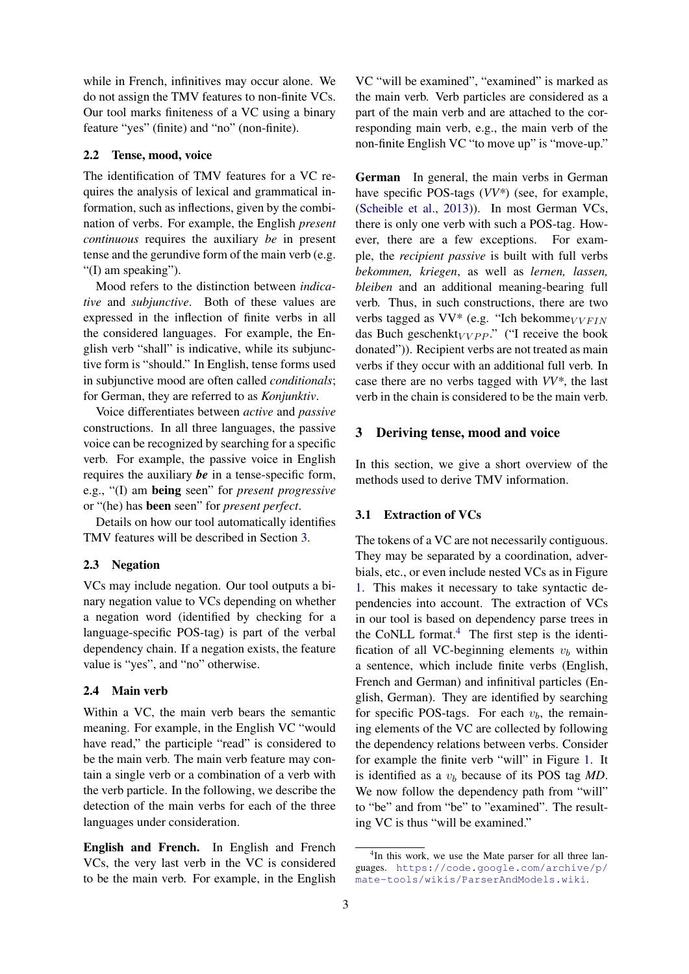while in French, infinitives may occur alone. We do not assign the TMV features to non-finite VCs. Our tool marks finiteness of a VC using a binary feature "yes" (finite) and "no" (non-finite).

#### 2.2 Tense, mood, voice

The identification of TMV features for a VC requires the analysis of lexical and grammatical information, such as inflections, given by the combination of verbs. For example, the English *present continuous* requires the auxiliary *be* in present tense and the gerundive form of the main verb (e.g. "(I) am speaking").

Mood refers to the distinction between *indicative* and *subjunctive*. Both of these values are expressed in the inflection of finite verbs in all the considered languages. For example, the English verb "shall" is indicative, while its subjunctive form is "should." In English, tense forms used in subjunctive mood are often called *conditionals*; for German, they are referred to as *Konjunktiv*.

Voice differentiates between *active* and *passive* constructions. In all three languages, the passive voice can be recognized by searching for a specific verb. For example, the passive voice in English requires the auxiliary *be* in a tense-specific form, e.g., "(I) am being seen" for *present progressive* or "(he) has been seen" for *present perfect*.

Details on how our tool automatically identifies TMV features will be described in Section 3.

### 2.3 Negation

VCs may include negation. Our tool outputs a binary negation value to VCs depending on whether a negation word (identified by checking for a language-specific POS-tag) is part of the verbal dependency chain. If a negation exists, the feature value is "yes", and "no" otherwise.

### 2.4 Main verb

Within a VC, the main verb bears the semantic meaning. For example, in the English VC "would have read," the participle "read" is considered to be the main verb. The main verb feature may contain a single verb or a combination of a verb with the verb particle. In the following, we describe the detection of the main verbs for each of the three languages under consideration.

English and French. In English and French VCs, the very last verb in the VC is considered to be the main verb. For example, in the English

VC "will be examined", "examined" is marked as the main verb. Verb particles are considered as a part of the main verb and are attached to the corresponding main verb, e.g., the main verb of the non-finite English VC "to move up" is "move-up."

German In general, the main verbs in German have specific POS-tags (*VV\**) (see, for example, (Scheible et al., 2013)). In most German VCs, there is only one verb with such a POS-tag. However, there are a few exceptions. For example, the *recipient passive* is built with full verbs *bekommen, kriegen*, as well as *lernen, lassen, bleiben* and an additional meaning-bearing full verb. Thus, in such constructions, there are two verbs tagged as  $VV^*$  (e.g. "Ich bekomme $_{VVFIN}$ das Buch geschenkt $_VV$  Pp." ("I receive the book donated")). Recipient verbs are not treated as main verbs if they occur with an additional full verb. In case there are no verbs tagged with *VV\**, the last verb in the chain is considered to be the main verb.

### 3 Deriving tense, mood and voice

In this section, we give a short overview of the methods used to derive TMV information.

### 3.1 Extraction of VCs

The tokens of a VC are not necessarily contiguous. They may be separated by a coordination, adverbials, etc., or even include nested VCs as in Figure 1. This makes it necessary to take syntactic dependencies into account. The extraction of VCs in our tool is based on dependency parse trees in the CoNLL format. $4$  The first step is the identification of all VC-beginning elements  $v_b$  within a sentence, which include finite verbs (English, French and German) and infinitival particles (English, German). They are identified by searching for specific POS-tags. For each  $v<sub>b</sub>$ , the remaining elements of the VC are collected by following the dependency relations between verbs. Consider for example the finite verb "will" in Figure 1. It is identified as a  $v<sub>b</sub>$  because of its POS tag  $MD$ . We now follow the dependency path from "will" to "be" and from "be" to "examined". The resulting VC is thus "will be examined."

<sup>&</sup>lt;sup>4</sup>In this work, we use the Mate parser for all three languages. https://code.google.com/archive/p/ mate-tools/wikis/ParserAndModels.wiki.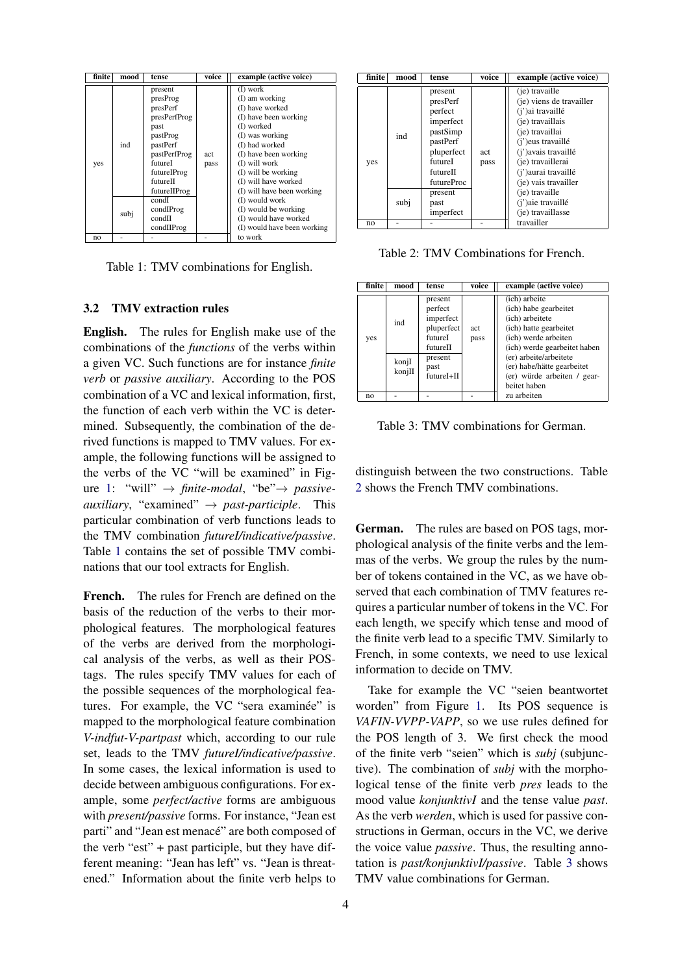| finite         | mood        | tense                                                                                                                                                                                               | voice       | example (active voice)                                                                                                                                                                                                                                                                                                                             |
|----------------|-------------|-----------------------------------------------------------------------------------------------------------------------------------------------------------------------------------------------------|-------------|----------------------------------------------------------------------------------------------------------------------------------------------------------------------------------------------------------------------------------------------------------------------------------------------------------------------------------------------------|
| yes            | ind<br>subj | present<br>presProg<br>presPerf<br>presPerfProg<br>past<br>pastProg<br>pastPerf<br>pastPerfProg<br>futureI<br>futureIProg<br>futureII<br>futureIIProg<br>condI<br>condIProg<br>condII<br>condIIProg | act<br>pass | (I) work<br>(I) am working<br>(I) have worked<br>(I) have been working<br>(I) worked<br>(I) was working<br>(I) had worked<br>(I) have been working<br>(I) will work<br>(I) will be working<br>(I) will have worked<br>(I) will have been working<br>(I) would work<br>(I) would be working<br>(I) would have worked<br>(I) would have been working |
| n <sub>0</sub> |             |                                                                                                                                                                                                     |             | to work                                                                                                                                                                                                                                                                                                                                            |

Table 1: TMV combinations for English.

### 3.2 TMV extraction rules

English. The rules for English make use of the combinations of the *functions* of the verbs within a given VC. Such functions are for instance *finite verb* or *passive auxiliary*. According to the POS combination of a VC and lexical information, first, the function of each verb within the VC is determined. Subsequently, the combination of the derived functions is mapped to TMV values. For example, the following functions will be assigned to the verbs of the VC "will be examined" in Figure 1: "will"  $\rightarrow$  *finite-modal*, "be" $\rightarrow$  *passiveauxiliary*, "examined" → *past-participle*. This particular combination of verb functions leads to the TMV combination *futureI/indicative/passive*. Table 1 contains the set of possible TMV combinations that our tool extracts for English.

French. The rules for French are defined on the basis of the reduction of the verbs to their morphological features. The morphological features of the verbs are derived from the morphological analysis of the verbs, as well as their POStags. The rules specify TMV values for each of the possible sequences of the morphological features. For example, the VC "sera examinée" is mapped to the morphological feature combination *V-indfut-V-partpast* which, according to our rule set, leads to the TMV *futureI/indicative/passive*. In some cases, the lexical information is used to decide between ambiguous configurations. For example, some *perfect/active* forms are ambiguous with *present/passive* forms. For instance, "Jean est parti" and "Jean est menacé" are both composed of the verb "est" + past participle, but they have different meaning: "Jean has left" vs. "Jean is threatened." Information about the finite verb helps to

| finite | mood        | tense                                                                                                                                                         | voice       | example (active voice)                                                                                                                                                                                                                                                              |
|--------|-------------|---------------------------------------------------------------------------------------------------------------------------------------------------------------|-------------|-------------------------------------------------------------------------------------------------------------------------------------------------------------------------------------------------------------------------------------------------------------------------------------|
| yes    | ind<br>subj | present<br>presPerf<br>perfect<br>imperfect<br>pastSimp<br>pastPerf<br>pluperfect<br>futureI<br>futureII<br><b>futureProc</b><br>present<br>past<br>imperfect | act<br>pass | (je) travaille<br>(je) viens de travailler<br>(i')ai travaillé<br>(je) travaillais<br>(je) travaillai<br>(i')eus travaillé<br>(j') avais travaillé<br>(je) travaillerai<br>(j') aurai travaillé<br>(je) vais travailler<br>(je) travaille<br>(i')aie travaillé<br>(je) travaillasse |
| no     |             |                                                                                                                                                               |             | travailler                                                                                                                                                                                                                                                                          |

Table 2: TMV Combinations for French.

| finite | mood                   | tense                                                                                                 | voice       | example (active voice)                                                                                                                                                                                                                             |
|--------|------------------------|-------------------------------------------------------------------------------------------------------|-------------|----------------------------------------------------------------------------------------------------------------------------------------------------------------------------------------------------------------------------------------------------|
| yes    | ind<br>konjI<br>konjII | present<br>perfect<br>imperfect<br>pluperfect<br>futureI<br>futureII<br>present<br>past<br>futureI+II | act<br>pass | (ich) arbeite<br>(ich) habe gearbeitet<br>(ich) arbeitete<br>(ich) hatte gearbeitet<br>(ich) werde arbeiten<br>(ich) werde gearbeitet haben<br>(er) arbeite/arbeitete<br>(er) habe/hätte gearbeitet<br>(er) würde arbeiten / gear-<br>beitet haben |
| no     |                        |                                                                                                       |             | zu arbeiten                                                                                                                                                                                                                                        |

Table 3: TMV combinations for German.

distinguish between the two constructions. Table 2 shows the French TMV combinations.

German. The rules are based on POS tags, morphological analysis of the finite verbs and the lemmas of the verbs. We group the rules by the number of tokens contained in the VC, as we have observed that each combination of TMV features requires a particular number of tokens in the VC. For each length, we specify which tense and mood of the finite verb lead to a specific TMV. Similarly to French, in some contexts, we need to use lexical information to decide on TMV.

Take for example the VC "seien beantwortet worden" from Figure 1. Its POS sequence is *VAFIN-VVPP-VAPP*, so we use rules defined for the POS length of 3. We first check the mood of the finite verb "seien" which is *subj* (subjunctive). The combination of *subj* with the morphological tense of the finite verb *pres* leads to the mood value *konjunktivI* and the tense value *past*. As the verb *werden*, which is used for passive constructions in German, occurs in the VC, we derive the voice value *passive*. Thus, the resulting annotation is *past/konjunktivI/passive*. Table 3 shows TMV value combinations for German.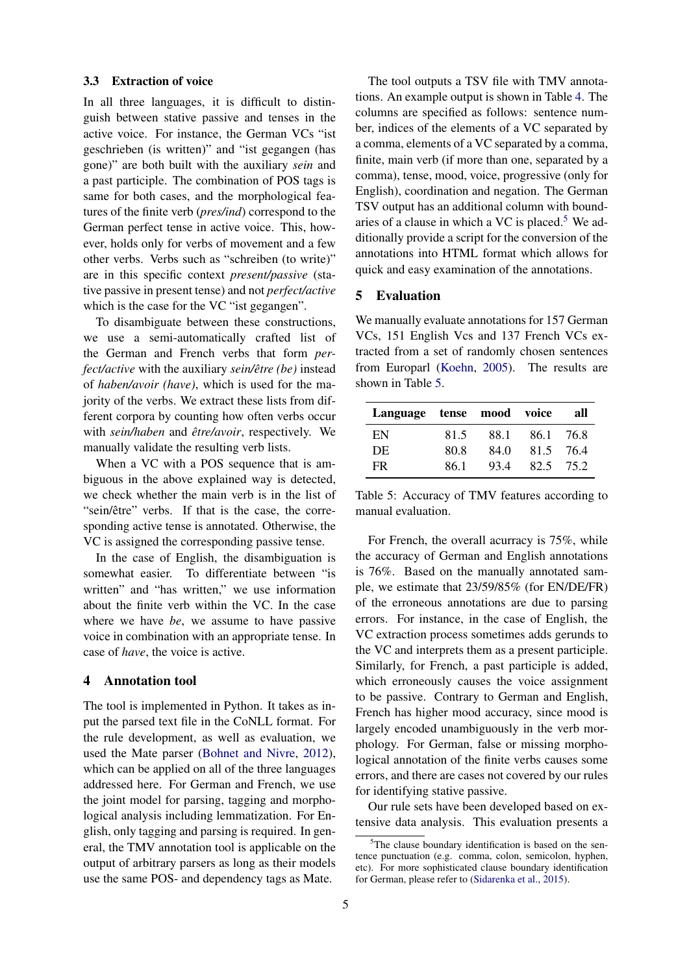### 3.3 Extraction of voice

In all three languages, it is difficult to distinguish between stative passive and tenses in the active voice. For instance, the German VCs "ist geschrieben (is written)" and "ist gegangen (has gone)" are both built with the auxiliary *sein* and a past participle. The combination of POS tags is same for both cases, and the morphological features of the finite verb (*pres/ind*) correspond to the German perfect tense in active voice. This, however, holds only for verbs of movement and a few other verbs. Verbs such as "schreiben (to write)" are in this specific context *present/passive* (stative passive in present tense) and not *perfect/active* which is the case for the VC "ist gegangen".

To disambiguate between these constructions, we use a semi-automatically crafted list of the German and French verbs that form *perfect/active* with the auxiliary *sein/être (be)* instead of *haben/avoir (have)*, which is used for the majority of the verbs. We extract these lists from different corpora by counting how often verbs occur with *sein/haben* and  $\hat{e}$ *tre/avoir*, respectively. We manually validate the resulting verb lists.

When a VC with a POS sequence that is ambiguous in the above explained way is detected, we check whether the main verb is in the list of "sein/être" verbs. If that is the case, the corresponding active tense is annotated. Otherwise, the VC is assigned the corresponding passive tense.

In the case of English, the disambiguation is somewhat easier. To differentiate between "is written" and "has written," we use information about the finite verb within the VC. In the case where we have *be*, we assume to have passive voice in combination with an appropriate tense. In case of *have*, the voice is active.

### 4 Annotation tool

The tool is implemented in Python. It takes as input the parsed text file in the CoNLL format. For the rule development, as well as evaluation, we used the Mate parser (Bohnet and Nivre, 2012), which can be applied on all of the three languages addressed here. For German and French, we use the joint model for parsing, tagging and morphological analysis including lemmatization. For English, only tagging and parsing is required. In general, the TMV annotation tool is applicable on the output of arbitrary parsers as long as their models use the same POS- and dependency tags as Mate.

The tool outputs a TSV file with TMV annotations. An example output is shown in Table 4. The columns are specified as follows: sentence number, indices of the elements of a VC separated by a comma, elements of a VC separated by a comma, finite, main verb (if more than one, separated by a comma), tense, mood, voice, progressive (only for English), coordination and negation. The German TSV output has an additional column with boundaries of a clause in which a VC is placed.<sup>5</sup> We additionally provide a script for the conversion of the annotations into HTML format which allows for quick and easy examination of the annotations.

# 5 Evaluation

We manually evaluate annotations for 157 German VCs, 151 English Vcs and 137 French VCs extracted from a set of randomly chosen sentences from Europarl (Koehn, 2005). The results are shown in Table 5.

| Language tense mood voice |      |      |           | all |
|---------------------------|------|------|-----------|-----|
| EN                        | 81.5 | 88.1 | 86.1 76.8 |     |
| DE.                       | 80.8 | 84.0 | 81.5 76.4 |     |
| FR.                       | 86.1 | 93.4 | 82.5 75.2 |     |

Table 5: Accuracy of TMV features according to manual evaluation.

For French, the overall acurracy is 75%, while the accuracy of German and English annotations is 76%. Based on the manually annotated sample, we estimate that 23/59/85% (for EN/DE/FR) of the erroneous annotations are due to parsing errors. For instance, in the case of English, the VC extraction process sometimes adds gerunds to the VC and interprets them as a present participle. Similarly, for French, a past participle is added, which erroneously causes the voice assignment to be passive. Contrary to German and English, French has higher mood accuracy, since mood is largely encoded unambiguously in the verb morphology. For German, false or missing morphological annotation of the finite verbs causes some errors, and there are cases not covered by our rules for identifying stative passive.

Our rule sets have been developed based on extensive data analysis. This evaluation presents a

 $5$ The clause boundary identification is based on the sentence punctuation (e.g. comma, colon, semicolon, hyphen, etc). For more sophisticated clause boundary identification for German, please refer to (Sidarenka et al., 2015).